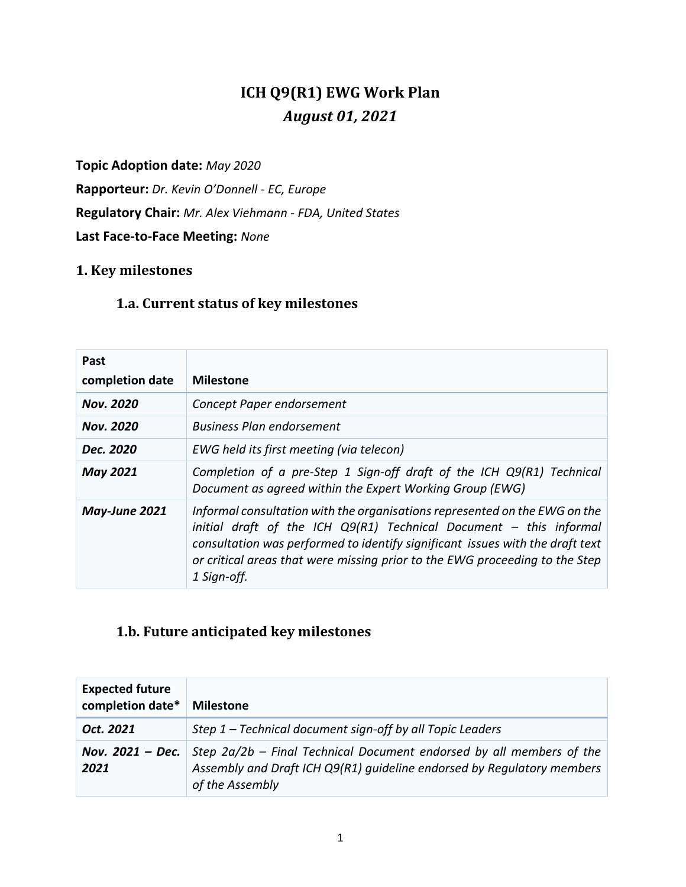# **ICH Q9(R1) EWG Work Plan** *August 01, 2021*

#### **Topic Adoption date:** *May 2020*

**Rapporteur:** *Dr. Kevin O'Donnell - EC, Europe* **Regulatory Chair:** *Mr. Alex Viehmann - FDA, United States* **Last Face-to-Face Meeting:** *None*

### **1. Key milestones**

#### **1.a. Current status of key milestones**

| Past<br>completion date | <b>Milestone</b>                                                                                                                                                                                                                                                                                                                  |
|-------------------------|-----------------------------------------------------------------------------------------------------------------------------------------------------------------------------------------------------------------------------------------------------------------------------------------------------------------------------------|
| <b>Nov. 2020</b>        | Concept Paper endorsement                                                                                                                                                                                                                                                                                                         |
| <b>Nov. 2020</b>        | <b>Business Plan endorsement</b>                                                                                                                                                                                                                                                                                                  |
| Dec. 2020               | EWG held its first meeting (via telecon)                                                                                                                                                                                                                                                                                          |
| <b>May 2021</b>         | Completion of a pre-Step 1 Sign-off draft of the ICH Q9(R1) Technical<br>Document as agreed within the Expert Working Group (EWG)                                                                                                                                                                                                 |
| May-June 2021           | Informal consultation with the organisations represented on the EWG on the<br>initial draft of the ICH $Q9(R1)$ Technical Document - this informal<br>consultation was performed to identify significant issues with the draft text<br>or critical areas that were missing prior to the EWG proceeding to the Step<br>1 Sign-off. |

## **1.b. Future anticipated key milestones**

| <b>Expected future</b><br>completion date* | <b>Milestone</b>                                                                                                                                                  |
|--------------------------------------------|-------------------------------------------------------------------------------------------------------------------------------------------------------------------|
| Oct. 2021                                  | Step 1 - Technical document sign-off by all Topic Leaders                                                                                                         |
| Nov. 2021 - Dec.<br>2021                   | Step 2a/2b - Final Technical Document endorsed by all members of the<br>Assembly and Draft ICH Q9(R1) guideline endorsed by Requlatory members<br>of the Assembly |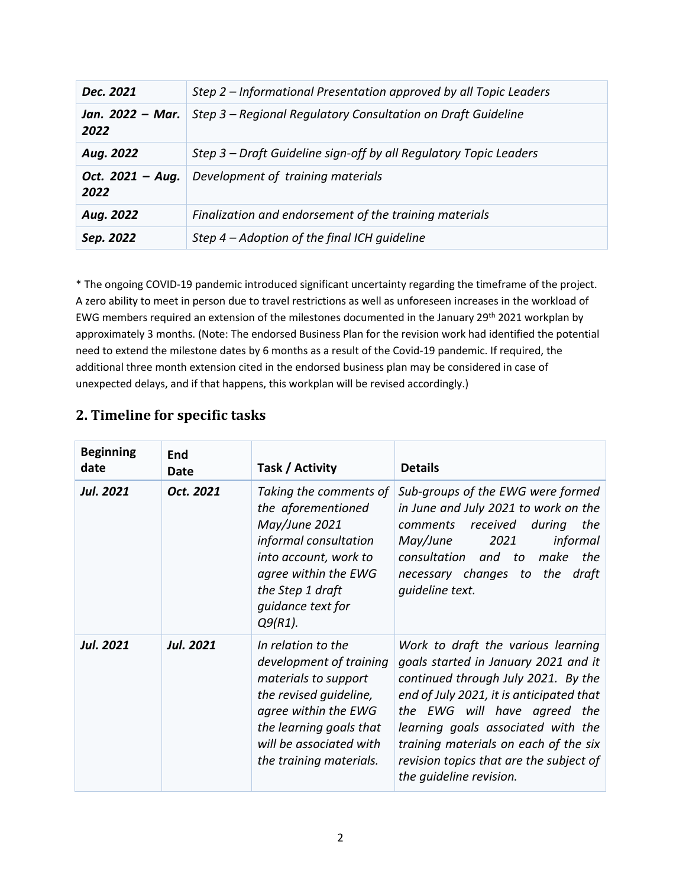| Dec. 2021                | Step 2 – Informational Presentation approved by all Topic Leaders |  |  |
|--------------------------|-------------------------------------------------------------------|--|--|
| Jan. 2022 - Mar.<br>2022 | Step 3 - Regional Regulatory Consultation on Draft Guideline      |  |  |
| Aug. 2022                | Step 3 - Draft Guideline sign-off by all Regulatory Topic Leaders |  |  |
| Oct. 2021 - Aug.<br>2022 | Development of training materials                                 |  |  |
| Aug. 2022                | Finalization and endorsement of the training materials            |  |  |
| Sep. 2022                | Step $4$ – Adoption of the final ICH quideline                    |  |  |

\* The ongoing COVID-19 pandemic introduced significant uncertainty regarding the timeframe of the project. A zero ability to meet in person due to travel restrictions as well as unforeseen increases in the workload of EWG members required an extension of the milestones documented in the January 29<sup>th</sup> 2021 workplan by approximately 3 months. (Note: The endorsed Business Plan for the revision work had identified the potential need to extend the milestone dates by 6 months as a result of the Covid-19 pandemic. If required, the additional three month extension cited in the endorsed business plan may be considered in case of unexpected delays, and if that happens, this workplan will be revised accordingly.)

### **2. Timeline for specific tasks**

| <b>Beginning</b><br>date | End<br>Date      | Task / Activity                                                                                                                                                                                          | <b>Details</b>                                                                                                                                                                                                                                                                                                                                     |
|--------------------------|------------------|----------------------------------------------------------------------------------------------------------------------------------------------------------------------------------------------------------|----------------------------------------------------------------------------------------------------------------------------------------------------------------------------------------------------------------------------------------------------------------------------------------------------------------------------------------------------|
| <b>Jul. 2021</b>         | Oct. 2021        | Taking the comments of<br>the aforementioned<br>May/June 2021<br>informal consultation<br>into account, work to<br>agree within the EWG<br>the Step 1 draft<br>quidance text for<br>$Q9(R1)$ .           | Sub-groups of the EWG were formed<br>in June and July 2021 to work on the<br>comments received<br>during<br>the<br>May/June<br>2021<br>informal<br>consultation<br>the<br>and<br>to<br>make<br>necessary changes to<br>the<br>draft<br>quideline text.                                                                                             |
| <b>Jul. 2021</b>         | <b>Jul. 2021</b> | In relation to the<br>development of training<br>materials to support<br>the revised quideline,<br>agree within the EWG<br>the learning goals that<br>will be associated with<br>the training materials. | Work to draft the various learning<br>goals started in January 2021 and it<br>continued through July 2021. By the<br>end of July 2021, it is anticipated that<br>the EWG will have agreed the<br>learning goals associated with the<br>training materials on each of the six<br>revision topics that are the subject of<br>the quideline revision. |